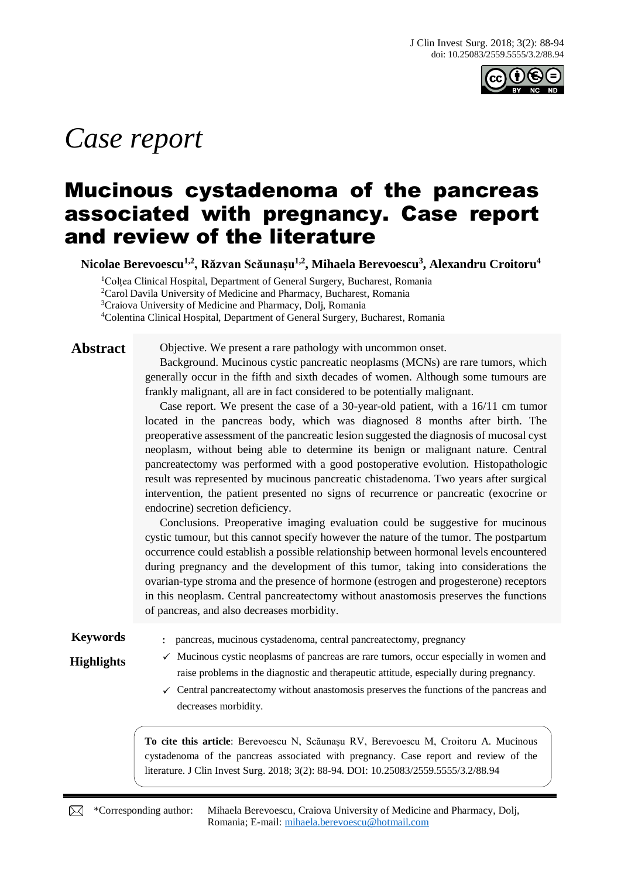

# *Case report*

## Mucinous cystadenoma of the pancreas associated with pregnancy. Case report and review of the literature

**Nicolae Berevoescu1,2, Răzvan Scăunașu1,2, Mihaela Berevoescu<sup>3</sup> , Alexandru Croitoru<sup>4</sup>**

<sup>1</sup>Coltea Clinical Hospital, Department of General Surgery, Bucharest, Romania <sup>2</sup>Carol Davila University of Medicine and Pharmacy, Bucharest, Romania <sup>3</sup>Craiova University of Medicine and Pharmacy, Dolj, Romania <sup>4</sup>Colentina Clinical Hospital, Department of General Surgery, Bucharest, Romania

**Abstract** Objective. We present a rare pathology with uncommon onset.

Background. Mucinous cystic pancreatic neoplasms (MCNs) are rare tumors, which generally occur in the fifth and sixth decades of women. Although some tumours are frankly malignant, all are in fact considered to be potentially malignant.

Case report. We present the case of a 30-year-old patient, with a 16/11 cm tumor located in the pancreas body, which was diagnosed 8 months after birth. The preoperative assessment of the pancreatic lesion suggested the diagnosis of mucosal cyst neoplasm, without being able to determine its benign or malignant nature. Central pancreatectomy was performed with a good postoperative evolution. Histopathologic result was represented by mucinous pancreatic chistadenoma. Two years after surgical intervention, the patient presented no signs of recurrence or pancreatic (exocrine or endocrine) secretion deficiency.

Conclusions. Preoperative imaging evaluation could be suggestive for mucinous cystic tumour, but this cannot specify however the nature of the tumor. The postpartum occurrence could establish a possible relationship between hormonal levels encountered during pregnancy and the development of this tumor, taking into considerations the ovarian-type stroma and the presence of hormone (estrogen and progesterone) receptors in this neoplasm. Central pancreatectomy without anastomosis preserves the functions of pancreas, and also decreases morbidity.

**Keywords** : pancreas, mucinous cystadenoma, central pancreatectomy, pregnancy

- 
- Highlights **✓ Mucinous cystic neoplasms of pancreas are rare tumors, occur especially in women and** raise problems in the diagnostic and therapeutic attitude, especially during pregnancy.
	- $\checkmark$  Central pancreatectomy without anastomosis preserves the functions of the pancreas and decreases morbidity.

**To cite this article**: Berevoescu N, Scăunașu RV, Berevoescu M, Croitoru A. Mucinous cystadenoma of the pancreas associated with pregnancy. Case report and review of the literature. J Clin Invest Surg. 2018; 3(2): 88-94. DOI: 10.25083/2559.5555/3.2/88.94

\*Corresponding author: Mihaela Berevoescu, Craiova University of Medicine and Pharmacy, Dolj, Romania; E-mail: [mihaela.berevoescu@hotmail.com](mailto:mihaela.berevoescu@hotmail.com)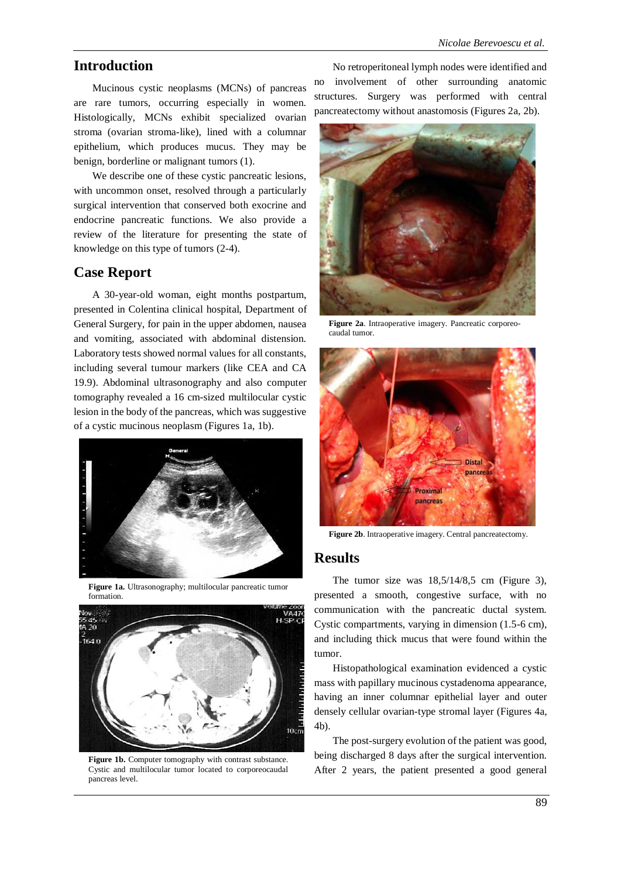#### **Introduction**

Mucinous cystic neoplasms (MCNs) of pancreas are rare tumors, occurring especially in women. Histologically, MCNs exhibit specialized ovarian stroma (ovarian stroma-like), lined with a columnar epithelium, which produces mucus. They may be benign, borderline or malignant tumors (1).

We describe one of these cystic pancreatic lesions, with uncommon onset, resolved through a particularly surgical intervention that conserved both exocrine and endocrine pancreatic functions. We also provide a review of the literature for presenting the state of knowledge on this type of tumors (2-4).

#### **Case Report**

A 30-year-old woman, eight months postpartum, presented in Colentina clinical hospital, Department of General Surgery, for pain in the upper abdomen, nausea and vomiting, associated with abdominal distension. Laboratory tests showed normal values for all constants, including several tumour markers (like CEA and CA 19.9). Abdominal ultrasonography and also computer tomography revealed a 16 cm-sized multilocular cystic lesion in the body of the pancreas, which was suggestive of a cystic mucinous neoplasm (Figures 1a, 1b).







**Figure 1b.** Computer tomography with contrast substance. Cystic and multilocular tumor located to corporeocaudal pancreas level.

No retroperitoneal lymph nodes were identified and no involvement of other surrounding anatomic structures. Surgery was performed with central pancreatectomy without anastomosis (Figures 2a, 2b).



**Figure 2a**. Intraoperative imagery. Pancreatic corporeocaudal tumor.



**Figure 2b**. Intraoperative imagery. Central pancreatectomy.

#### **Results**

The tumor size was  $18,5/14/8,5$  cm (Figure 3), presented a smooth, congestive surface, with no communication with the pancreatic ductal system. Cystic compartments, varying in dimension (1.5-6 cm), and including thick mucus that were found within the tumor.

Histopathological examination evidenced a cystic mass with papillary mucinous cystadenoma appearance, having an inner columnar epithelial layer and outer densely cellular ovarian-type stromal layer (Figures 4a, 4b).

The post-surgery evolution of the patient was good, being discharged 8 days after the surgical intervention. After 2 years, the patient presented a good general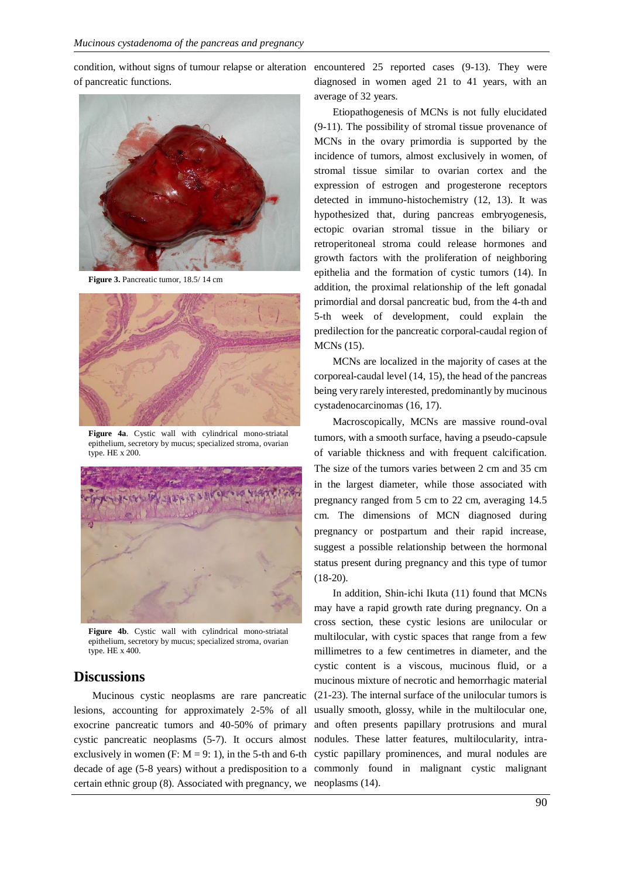of pancreatic functions.



**Figure 3.** Pancreatic tumor, 18.5/ 14 cm



**Figure 4a**. Cystic wall with cylindrical mono-striatal epithelium, secretory by mucus; specialized stroma, ovarian type. HE x 200.



**Figure 4b**. Cystic wall with cylindrical mono-striatal epithelium, secretory by mucus; specialized stroma, ovarian type. HE x 400.

#### **Discussions**

Mucinous cystic neoplasms are rare pancreatic certain ethnic group (8). Associated with pregnancy, we neoplasms (14).

condition, without signs of tumour relapse or alteration encountered 25 reported cases (9-13). They were diagnosed in women aged 21 to 41 years, with an average of 32 years.

> Etiopathogenesis of MCNs is not fully elucidated (9-11). The possibility of stromal tissue provenance of MCNs in the ovary primordia is supported by the incidence of tumors, almost exclusively in women, of stromal tissue similar to ovarian cortex and the expression of estrogen and progesterone receptors detected in immuno-histochemistry (12, 13). It was hypothesized that, during pancreas embryogenesis, ectopic ovarian stromal tissue in the biliary or retroperitoneal stroma could release hormones and growth factors with the proliferation of neighboring epithelia and the formation of cystic tumors (14). In addition, the proximal relationship of the left gonadal primordial and dorsal pancreatic bud, from the 4-th and 5-th week of development, could explain the predilection for the pancreatic corporal-caudal region of MCNs (15).

> MCNs are localized in the majority of cases at the corporeal-caudal level (14, 15), the head of the pancreas being very rarely interested, predominantly by mucinous cystadenocarcinomas (16, 17).

> Macroscopically, MCNs are massive round-oval tumors, with a smooth surface, having a pseudo-capsule of variable thickness and with frequent calcification. The size of the tumors varies between 2 cm and 35 cm in the largest diameter, while those associated with pregnancy ranged from 5 cm to 22 cm, averaging 14.5 cm. The dimensions of MCN diagnosed during pregnancy or postpartum and their rapid increase, suggest a possible relationship between the hormonal status present during pregnancy and this type of tumor (18-20).

lesions, accounting for approximately 2-5% of all usually smooth, glossy, while in the multilocular one, exocrine pancreatic tumors and 40-50% of primary and often presents papillary protrusions and mural cystic pancreatic neoplasms (5-7). It occurs almost nodules. These latter features, multilocularity, intraexclusively in women  $(F: M = 9: 1)$ , in the 5-th and 6-th cystic papillary prominences, and mural nodules are decade of age (5-8 years) without a predisposition to a commonly found in malignant cystic malignant In addition, Shin-ichi Ikuta (11) found that MCNs may have a rapid growth rate during pregnancy. On a cross section, these cystic lesions are unilocular or multilocular, with cystic spaces that range from a few millimetres to a few centimetres in diameter, and the cystic content is a viscous, mucinous fluid, or a mucinous mixture of necrotic and hemorrhagic material (21-23). The internal surface of the unilocular tumors is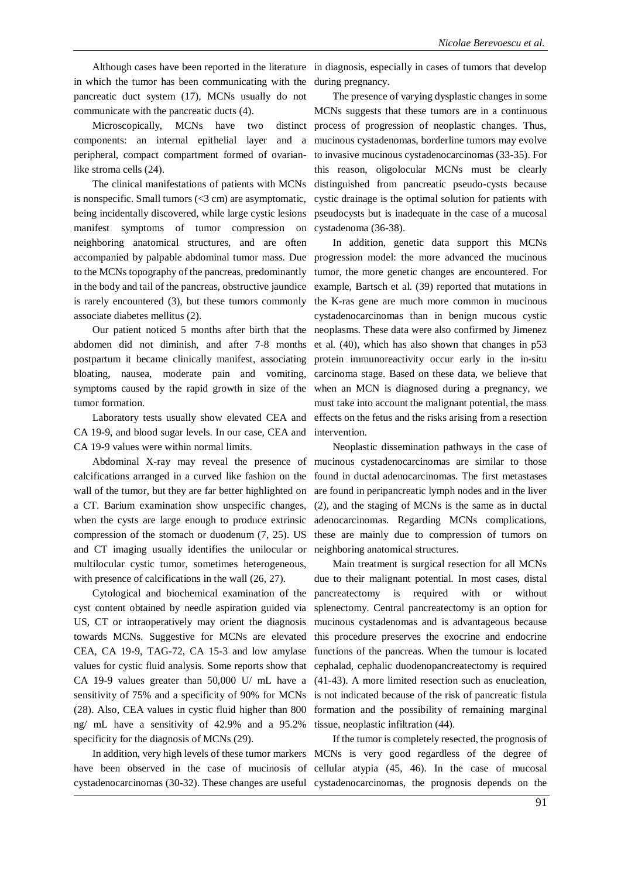in which the tumor has been communicating with the pancreatic duct system (17), MCNs usually do not communicate with the pancreatic ducts (4).

Microscopically, MCNs have two components: an internal epithelial layer and a peripheral, compact compartment formed of ovarianlike stroma cells (24).

The clinical manifestations of patients with MCNs is nonspecific. Small tumors  $( $3 \text{ cm}$ )$  are asymptomatic, being incidentally discovered, while large cystic lesions manifest symptoms of tumor compression on neighboring anatomical structures, and are often accompanied by palpable abdominal tumor mass. Due in the body and tail of the pancreas, obstructive jaundice is rarely encountered (3), but these tumors commonly associate diabetes mellitus (2).

abdomen did not diminish, and after 7-8 months postpartum it became clinically manifest, associating bloating, nausea, moderate pain and vomiting, symptoms caused by the rapid growth in size of the tumor formation.

Laboratory tests usually show elevated CEA and CA 19-9, and blood sugar levels. In our case, CEA and CA 19-9 values were within normal limits.

calcifications arranged in a curved like fashion on the wall of the tumor, but they are far better highlighted on a CT. Barium examination show unspecific changes, when the cysts are large enough to produce extrinsic compression of the stomach or duodenum (7, 25). US and CT imaging usually identifies the unilocular or multilocular cystic tumor, sometimes heterogeneous, with presence of calcifications in the wall  $(26, 27)$ .

Cytological and biochemical examination of the cyst content obtained by needle aspiration guided via US, CT or intraoperatively may orient the diagnosis towards MCNs. Suggestive for MCNs are elevated CEA, CA 19-9, TAG-72, CA 15-3 and low amylase values for cystic fluid analysis. Some reports show that CA 19-9 values greater than 50,000 U/ mL have a sensitivity of 75% and a specificity of 90% for MCNs (28). Also, CEA values in cystic fluid higher than 800 ng/ mL have a sensitivity of 42.9% and a 95.2% specificity for the diagnosis of MCNs (29).

Although cases have been reported in the literature in diagnosis, especially in cases of tumors that develop during pregnancy.

> The presence of varying dysplastic changes in some MCNs suggests that these tumors are in a continuous distinct process of progression of neoplastic changes. Thus, mucinous cystadenomas, borderline tumors may evolve to invasive mucinous cystadenocarcinomas (33-35). For this reason, oligolocular MCNs must be clearly distinguished from pancreatic pseudo-cysts because cystic drainage is the optimal solution for patients with pseudocysts but is inadequate in the case of a mucosal cystadenoma (36-38).

to the MCNs topography of the pancreas, predominantly tumor, the more genetic changes are encountered. For Our patient noticed 5 months after birth that the neoplasms. These data were also confirmed by Jimenez In addition, genetic data support this MCNs progression model: the more advanced the mucinous example, Bartsch et al. (39) reported that mutations in the K-ras gene are much more common in mucinous cystadenocarcinomas than in benign mucous cystic et al. (40), which has also shown that changes in p53 protein immunoreactivity occur early in the in-situ carcinoma stage. Based on these data, we believe that when an MCN is diagnosed during a pregnancy, we must take into account the malignant potential, the mass effects on the fetus and the risks arising from a resection intervention.

Abdominal X-ray may reveal the presence of mucinous cystadenocarcinomas are similar to those Neoplastic dissemination pathways in the case of found in ductal adenocarcinomas. The first metastases are found in peripancreatic lymph nodes and in the liver (2), and the staging of MCNs is the same as in ductal adenocarcinomas. Regarding MCNs complications, these are mainly due to compression of tumors on neighboring anatomical structures.

> Main treatment is surgical resection for all MCNs due to their malignant potential. In most cases, distal pancreatectomy is required with or without splenectomy. Central pancreatectomy is an option for mucinous cystadenomas and is advantageous because this procedure preserves the exocrine and endocrine functions of the pancreas. When the tumour is located cephalad, cephalic duodenopancreatectomy is required (41-43). A more limited resection such as enucleation, is not indicated because of the risk of pancreatic fistula formation and the possibility of remaining marginal tissue, neoplastic infiltration (44).

In addition, very high levels of these tumor markers MCNs is very good regardless of the degree of have been observed in the case of mucinosis of cellular atypia  $(45, 46)$ . In the case of mucosal cystadenocarcinomas (30-32). These changes are useful cystadenocarcinomas, the prognosis depends on the If the tumor is completely resected, the prognosis of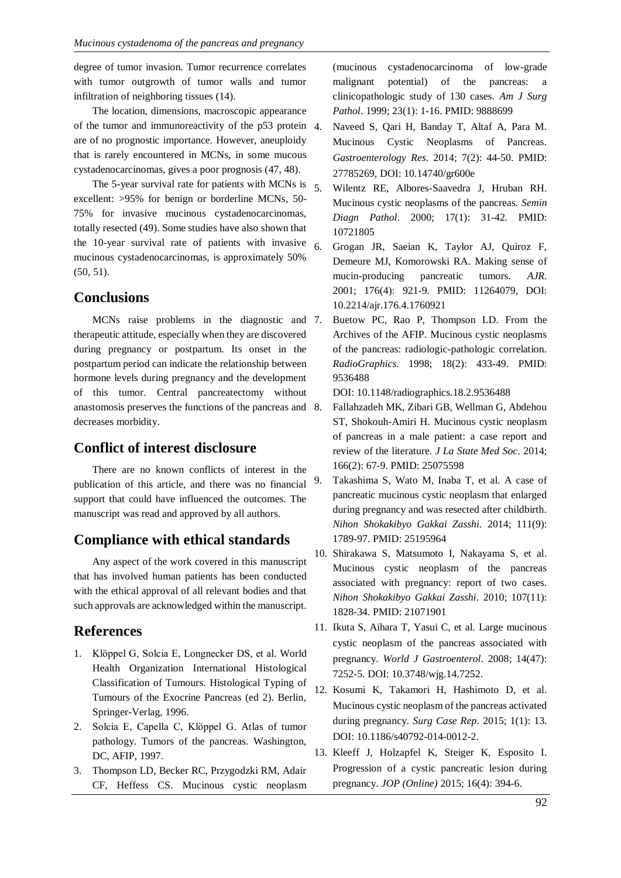degree of tumor invasion. Tumor recurrence correlates with tumor outgrowth of tumor walls and tumor infiltration of neighboring tissues (14).

The location, dimensions, macroscopic appearance of the tumor and immunoreactivity of the p53 protein are of no prognostic importance. However, aneuploidy that is rarely encountered in MCNs, in some mucous cystadenocarcinomas, gives a poor prognosis (47, 48).

The 5-year survival rate for patients with MCNs is excellent: >95% for benign or borderline MCNs, 50- 75% for invasive mucinous cystadenocarcinomas, totally resected (49). Some studies have also shown that the 10-year survival rate of patients with invasive mucinous cystadenocarcinomas, is approximately 50% (50, 51).

### **Conclusions**

MCNs raise problems in the diagnostic and 7. therapeutic attitude, especially when they are discovered during pregnancy or postpartum. Its onset in the postpartum period can indicate the relationship between hormone levels during pregnancy and the development of this tumor. Central pancreatectomy without anastomosis preserves the functions of the pancreas and decreases morbidity.

#### **Conflict of interest disclosure**

There are no known conflicts of interest in the publication of this article, and there was no financial support that could have influenced the outcomes. The manuscript was read and approved by all authors.

### **Compliance with ethical standards**

Any aspect of the work covered in this manuscript that has involved human patients has been conducted with the ethical approval of all relevant bodies and that such approvals are acknowledged within the manuscript.

#### **References**

- 1. Klöppel G, Solcia E, Longnecker DS, et al. World Health Organization International Histological Classification of Tumours. Histological Typing of Tumours of the Exocrine Pancreas (ed 2). Berlin, Springer-Verlag, 1996.
- 2. Solcia E, Capella C, Klöppel G. Atlas of tumor pathology. Tumors of the pancreas. Washington, DC, AFIP, 1997.
- 3. Thompson LD, Becker RC, Przygodzki RM, Adair CF, Heffess CS. Mucinous cystic neoplasm

(mucinous cystadenocarcinoma of low-grade malignant potential) of the pancreas: a clinicopathologic study of 130 cases. *Am J Surg Pathol*. 1999; 23(1): 1-16. PMID: 9888699

- 4. Naveed S, Qari H, Banday T, Altaf A, Para M. [Mucinous Cystic Neoplasms of Pancreas.](https://www.ncbi.nlm.nih.gov/pubmed/27785269) *Gastroenterology Res*. 2014; 7(2): 44-50. PMID: 27785269, DOI: 10.14740/gr600e
- 5. Wilentz RE, Albores-Saavedra J, Hruban RH. Mucinous cystic neoplasms of the pancreas. *Semin Diagn Pathol*. 2000; 17(1): 31-42. PMID: 10721805
- 6. Grogan JR, Saeian K, Taylor AJ, Quiroz F, Demeure MJ, Komorowski RA. Making sense of mucin-producing pancreatic tumors. *AJR*. 2001; 176(4): 921-9. PMID: 11264079, DOI: 10.2214/ajr.176.4.1760921
- Buetow PC, Rao P, Thompson LD. From the Archives of the AFIP. Mucinous cystic neoplasms of the pancreas: radiologic-pathologic correlation. *RadioGraphics*. 1998; 18(2): 433-49. PMID: 9536488

DOI: 10.1148/radiographics.18.2.9536488

- 8. Fallahzadeh MK, Zibari GB, Wellman G, Abdehou ST, Shokouh-Amiri H. [Mucinous cystic neoplasm](https://www.ncbi.nlm.nih.gov/pubmed/25075598)  [of pancreas in a male patient: a case report and](https://www.ncbi.nlm.nih.gov/pubmed/25075598)  [review of the literature.](https://www.ncbi.nlm.nih.gov/pubmed/25075598) *J La State Med Soc*. 2014; 166(2): 67-9. PMID: 25075598
- 9. Takashima S, Wato M, Inaba T, et al. A case of pancreatic mucinous cystic neoplasm that enlarged during pregnancy and was resected after childbirth. *Nihon Shokakibyo Gakkai Zasshi.* 2014; 111(9): 1789-97. PMID: 25195964
- 10. Shirakawa S, Matsumoto I, Nakayama S, et al. Mucinous cystic neoplasm of the pancreas associated with pregnancy: report of two cases. *Nihon Shokakibyo Gakkai Zasshi*. 2010; 107(11): 1828-34. PMID: 21071901
- 11. Ikuta S, Aihara T, Yasui C, et al. Large mucinous cystic neoplasm of the pancreas associated with pregnancy. *World J Gastroenterol*. 2008; 14(47): 7252-5. DOI: 10.3748/wjg.14.7252.
- 12. Kosumi K, Takamori H, Hashimoto D, et al. Mucinous cystic neoplasm of the pancreas activated during pregnancy. *Surg Case Rep*. 2015; 1(1): 13. DOI: 10.1186/s40792-014-0012-2.
- 13. Kleeff J, Holzapfel K, Steiger K, Esposito I. Progression of a cystic pancreatic lesion during pregnancy. *JOP (Online)* 2015; 16(4): 394-6.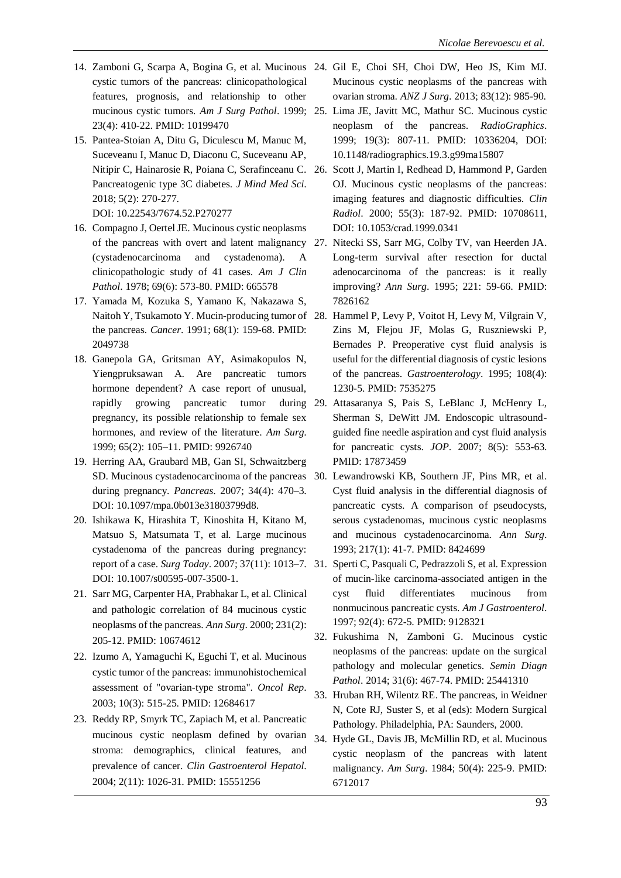- 14. Zamboni G, Scarpa A, Bogina G, et al. Mucinous 24. Gil E, Choi SH, Choi DW, Heo JS, Kim MJ. cystic tumors of the pancreas: clinicopathological features, prognosis, and relationship to other 23(4): 410-22. PMID: 10199470
- 15. Pantea-Stoian A, Ditu G, Diculescu M, Manuc M, Suceveanu I, Manuc D, Diaconu C, Suceveanu AP, Pancreatogenic type 3C diabetes. *J Mind Med Sci*. 2018; 5(2): 270-277. DOI: 10.22543/7674.52.P270277
- 16. Compagno J, Oertel JE. Mucinous cystic neoplasms (cystadenocarcinoma and cystadenoma). A clinicopathologic study of 41 cases. *Am J Clin Pathol*. 1978; 69(6): 573-80. PMID: 665578
- 17. Yamada M, Kozuka S, Yamano K, Nakazawa S, the pancreas. *Cancer*. 1991; 68(1): 159-68. PMID: 2049738
- 18. Ganepola GA, Gritsman AY, Asimakopulos N, Yiengpruksawan A. Are pancreatic tumors hormone dependent? A case report of unusual, rapidly growing pancreatic tumor pregnancy, its possible relationship to female sex hormones, and review of the literature. *Am Surg*. 1999; 65(2): 105–11. PMID: 9926740
- 19. Herring AA, Graubard MB, Gan SI, Schwaitzberg during pregnancy. *Pancreas*. 2007; 34(4): 470–3. DOI: 10.1097/mpa.0b013e31803799d8.
- 20. Ishikawa K, Hirashita T, Kinoshita H, Kitano M, Matsuo S, Matsumata T, et al. Large mucinous cystadenoma of the pancreas during pregnancy: report of a case. *Surg Today*. 2007; 37(11): 1013–7. DOI: 10.1007/s00595-007-3500-1.
- 21. Sarr MG, Carpenter HA, Prabhakar L, et al. Clinical and pathologic correlation of 84 mucinous cystic neoplasms of the pancreas. *Ann Surg*. 2000; 231(2): 205-12. PMID: 10674612
- 22. Izumo A, Yamaguchi K, Eguchi T, et al. Mucinous cystic tumor of the pancreas: immunohistochemical assessment of "ovarian-type stroma". *Oncol Rep*. 2003; 10(3): 515-25. PMID: 12684617
- 23. Reddy RP, Smyrk TC, Zapiach M, et al. Pancreatic mucinous cystic neoplasm defined by ovarian stroma: demographics, clinical features, and prevalence of cancer. *Clin Gastroenterol Hepatol*. 2004; 2(11): 1026-31. PMID: 15551256
- [Mucinous cystic neoplasms of the pancreas with](https://www.ncbi.nlm.nih.gov/pubmed/23072713)  [ovarian stroma.](https://www.ncbi.nlm.nih.gov/pubmed/23072713) *ANZ J Surg*. 2013; 83(12): 985-90.
- mucinous cystic tumors. *Am J Surg Pathol*. 1999; 25. Lima JE, Javitt MC, Mathur SC. Mucinous cystic neoplasm of the pancreas. *RadioGraphics*. 1999; 19(3): 807-11. PMID: 10336204, DOI: 10.1148/radiographics.19.3.g99ma15807
- Nitipir C, Hainarosie R, Poiana C, Serafinceanu C. 26. Scott J, Martin I, Redhead D, Hammond P, Garden OJ. Mucinous cystic neoplasms of the pancreas: imaging features and diagnostic difficulties. *Clin Radiol*. 2000; 55(3): 187-92. PMID: 10708611, DOI: 10.1053/crad.1999.0341
- of the pancreas with overt and latent malignancy 27. Nitecki SS, Sarr MG, Colby TV, van Heerden JA. Long-term survival after resection for ductal adenocarcinoma of the pancreas: is it really improving? *Ann Surg*. 1995; 221: 59-66. PMID: 7826162
- Naitoh Y, Tsukamoto Y. Mucin-producing tumor of 28. Hammel P, Levy P, Voitot H, Levy M, Vilgrain V, Zins M, Flejou JF, Molas G, Ruszniewski P, Bernades P. Preoperative cyst fluid analysis is useful for the differential diagnosis of cystic lesions of the pancreas. *Gastroenterology*. 1995; 108(4): 1230-5. PMID: 7535275
	- 29. Attasaranya S, Pais S, LeBlanc J, McHenry L, Sherman S, DeWitt JM. Endoscopic ultrasoundguided fine needle aspiration and cyst fluid analysis for pancreatic cysts. *JOP*. 2007; 8(5): 553-63. PMID: 17873459
- SD. Mucinous cystadenocarcinoma of the pancreas 30. Lewandrowski KB, Southern JF, Pins MR, et al. Cyst fluid analysis in the differential diagnosis of pancreatic cysts. A comparison of pseudocysts, serous cystadenomas, mucinous cystic neoplasms and mucinous cystadenocarcinoma. *Ann Surg*. 1993; 217(1): 41-7. PMID: 8424699
	- 31. Sperti C, Pasquali C, Pedrazzoli S, et al. Expression of mucin-like carcinoma-associated antigen in the cyst fluid differentiates mucinous from nonmucinous pancreatic cysts. *Am J Gastroenterol*. 1997; 92(4): 672-5. PMID: 9128321
	- 32. [Fukushima N,](https://www.ncbi.nlm.nih.gov/pubmed/?term=Fukushima%20N%5BAuthor%5D&cauthor=true&cauthor_uid=25441310) [Zamboni G.](https://www.ncbi.nlm.nih.gov/pubmed/?term=Zamboni%20G%5BAuthor%5D&cauthor=true&cauthor_uid=25441310) Mucinous cystic neoplasms of the pancreas: update on the surgical pathology and molecular genetics. *[Semin Diagn](https://www.ncbi.nlm.nih.gov/pubmed/25441310)  [Pathol](https://www.ncbi.nlm.nih.gov/pubmed/25441310)*. 2014; 31(6): 467-74. PMID: 25441310
	- 33. Hruban RH, Wilentz RE. The pancreas, in Weidner N, Cote RJ, Suster S, et al (eds): Modern Surgical Pathology. Philadelphia, PA: Saunders, 2000.
	- 34. Hyde GL, Davis JB, McMillin RD, et al. Mucinous cystic neoplasm of the pancreas with latent malignancy. *Am Surg*. 1984; 50(4): 225-9. PMID: 6712017